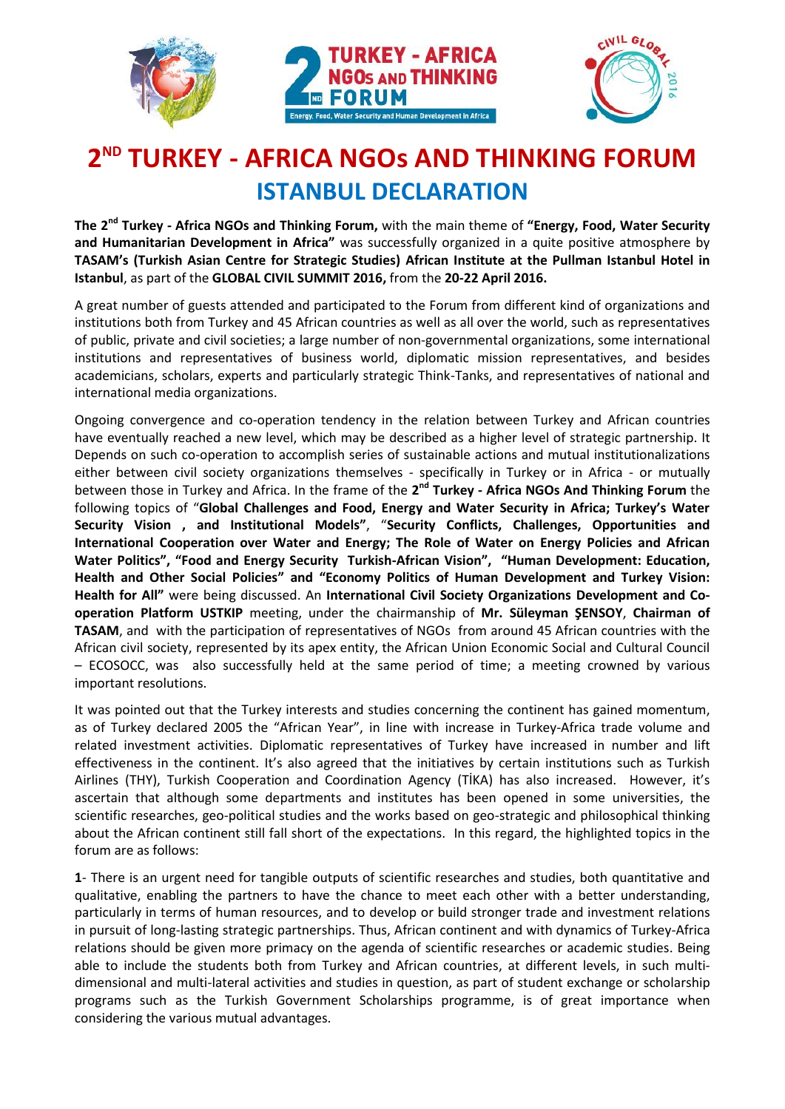





## **2 ND TURKEY - AFRICA NGOs AND THINKING FORUM ISTANBUL DECLARATION**

**The 2<sup>nd</sup> Turkey - Africa NGOs and Thinking Forum,** with the main theme of "Energy, Food, Water Security **and Humanitarian Development in Africa"** was successfully organized in a quite positive atmosphere by **TASAM's (Turkish Asian Centre for Strategic Studies) African Institute at the Pullman Istanbul Hotel in Istanbul**, as part of the **GLOBAL CIVIL SUMMIT 2016,** from the **20-22 April 2016.** 

A great number of guests attended and participated to the Forum from different kind of organizations and institutions both from Turkey and 45 African countries as well as all over the world, such as representatives of public, private and civil societies; a large number of non-governmental organizations, some international institutions and representatives of business world, diplomatic mission representatives, and besides academicians, scholars, experts and particularly strategic Think-Tanks, and representatives of national and international media organizations.

Ongoing convergence and co-operation tendency in the relation between Turkey and African countries have eventually reached a new level, which may be described as a higher level of strategic partnership. It Depends on such co-operation to accomplish series of sustainable actions and mutual institutionalizations either between civil society organizations themselves - specifically in Turkey or in Africa - or mutually between those in Turkey and Africa. In the frame of the 2<sup>nd</sup> Turkey - Africa NGOs And Thinking Forum the following topics of "**Global Challenges and Food, Energy and Water Security in Africa; Turkey's Water Security Vision , and Institutional Models"**, "**Security Conflicts, Challenges, Opportunities and International Cooperation over Water and Energy; The Role of Water on Energy Policies and African Water Politics", "Food and Energy Security Turkish-African Vision", "Human Development: Education, Health and Other Social Policies" and "Economy Politics of Human Development and Turkey Vision: Health for All"** were being discussed. An **International Civil Society Organizations Development and Cooperation Platform USTKIP** meeting, under the chairmanship of **Mr. Süleyman ŞENSOY**, **Chairman of TASAM**, and with the participation of representatives of NGOs from around 45 African countries with the African civil society, represented by its apex entity, the African Union Economic Social and Cultural Council – ECOSOCC, was also successfully held at the same period of time; a meeting crowned by various important resolutions.

It was pointed out that the Turkey interests and studies concerning the continent has gained momentum, as of Turkey declared 2005 the "African Year", in line with increase in Turkey-Africa trade volume and related investment activities. Diplomatic representatives of Turkey have increased in number and lift effectiveness in the continent. It's also agreed that the initiatives by certain institutions such as Turkish Airlines (THY), Turkish Cooperation and Coordination Agency (TİKA) has also increased. However, it's ascertain that although some departments and institutes has been opened in some universities, the scientific researches, geo-political studies and the works based on geo-strategic and philosophical thinking about the African continent still fall short of the expectations. In this regard, the highlighted topics in the forum are as follows:

**1**- There is an urgent need for tangible outputs of scientific researches and studies, both quantitative and qualitative, enabling the partners to have the chance to meet each other with a better understanding, particularly in terms of human resources, and to develop or build stronger trade and investment relations in pursuit of long-lasting strategic partnerships. Thus, African continent and with dynamics of Turkey-Africa relations should be given more primacy on the agenda of scientific researches or academic studies. Being able to include the students both from Turkey and African countries, at different levels, in such multidimensional and multi-lateral activities and studies in question, as part of student exchange or scholarship programs such as the Turkish Government Scholarships programme, is of great importance when considering the various mutual advantages.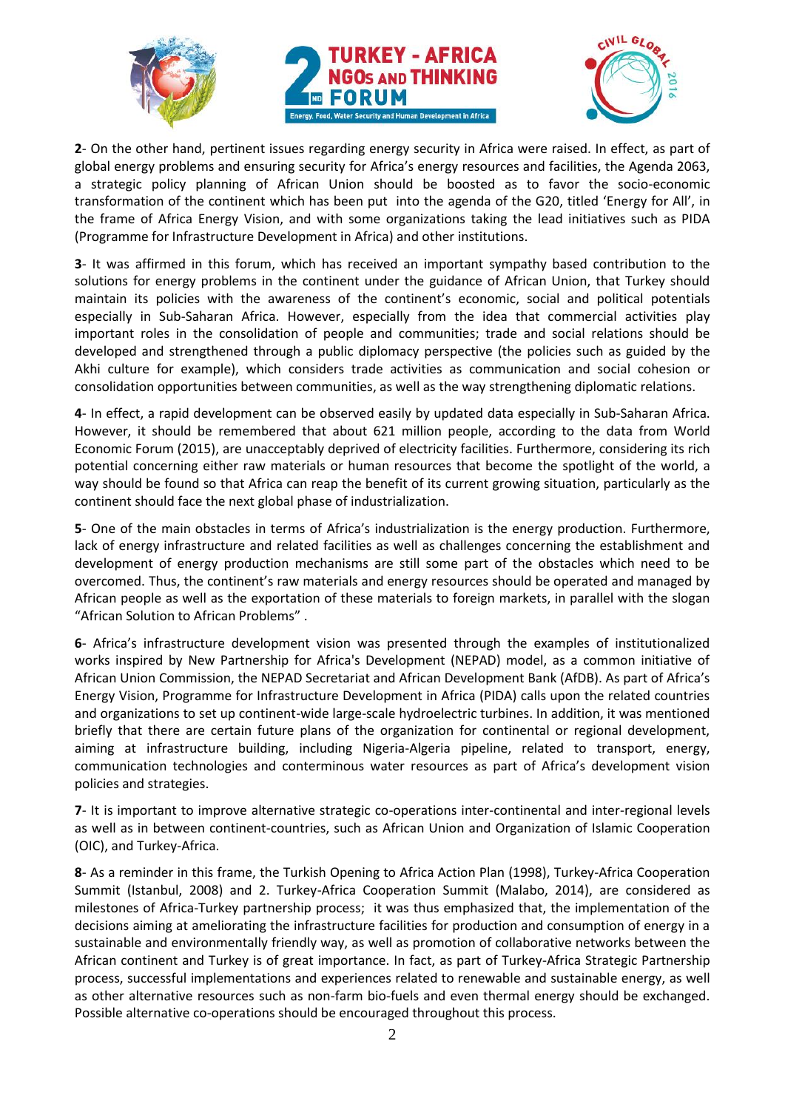





**2**- On the other hand, pertinent issues regarding energy security in Africa were raised. In effect, as part of global energy problems and ensuring security for Africa's energy resources and facilities, the Agenda 2063, a strategic policy planning of African Union should be boosted as to favor the socio-economic transformation of the continent which has been put into the agenda of the G20, titled 'Energy for All', in the frame of Africa Energy Vision, and with some organizations taking the lead initiatives such as PIDA (Programme for Infrastructure Development in Africa) and other institutions.

**3**- It was affirmed in this forum, which has received an important sympathy based contribution to the solutions for energy problems in the continent under the guidance of African Union, that Turkey should maintain its policies with the awareness of the continent's economic, social and political potentials especially in Sub-Saharan Africa. However, especially from the idea that commercial activities play important roles in the consolidation of people and communities; trade and social relations should be developed and strengthened through a public diplomacy perspective (the policies such as guided by the Akhi culture for example), which considers trade activities as communication and social cohesion or consolidation opportunities between communities, as well as the way strengthening diplomatic relations.

**4**- In effect, a rapid development can be observed easily by updated data especially in Sub-Saharan Africa. However, it should be remembered that about 621 million people, according to the data from World Economic Forum (2015), are unacceptably deprived of electricity facilities. Furthermore, considering its rich potential concerning either raw materials or human resources that become the spotlight of the world, a way should be found so that Africa can reap the benefit of its current growing situation, particularly as the continent should face the next global phase of industrialization.

**5**- One of the main obstacles in terms of Africa's industrialization is the energy production. Furthermore, lack of energy infrastructure and related facilities as well as challenges concerning the establishment and development of energy production mechanisms are still some part of the obstacles which need to be overcomed. Thus, the continent's raw materials and energy resources should be operated and managed by African people as well as the exportation of these materials to foreign markets, in parallel with the slogan "African Solution to African Problems" .

**6**- Africa's infrastructure development vision was presented through the examples of institutionalized works inspired by New Partnership for Africa's Development (NEPAD) model, as a common initiative of African Union Commission, the NEPAD Secretariat and African Development Bank (AfDB). As part of Africa's Energy Vision, Programme for Infrastructure Development in Africa (PIDA) calls upon the related countries and organizations to set up continent-wide large-scale hydroelectric turbines. In addition, it was mentioned briefly that there are certain future plans of the organization for continental or regional development, aiming at infrastructure building, including Nigeria-Algeria pipeline, related to transport, energy, communication technologies and conterminous water resources as part of Africa's development vision policies and strategies.

**7**- It is important to improve alternative strategic co-operations inter-continental and inter-regional levels as well as in between continent-countries, such as African Union and Organization of Islamic Cooperation (OIC), and Turkey-Africa.

**8**- As a reminder in this frame, the Turkish Opening to Africa Action Plan (1998), Turkey-Africa Cooperation Summit (Istanbul, 2008) and 2. Turkey-Africa Cooperation Summit (Malabo, 2014), are considered as milestones of Africa-Turkey partnership process; it was thus emphasized that, the implementation of the decisions aiming at ameliorating the infrastructure facilities for production and consumption of energy in a sustainable and environmentally friendly way, as well as promotion of collaborative networks between the African continent and Turkey is of great importance. In fact, as part of Turkey-Africa Strategic Partnership process, successful implementations and experiences related to renewable and sustainable energy, as well as other alternative resources such as non-farm bio-fuels and even thermal energy should be exchanged. Possible alternative co-operations should be encouraged throughout this process.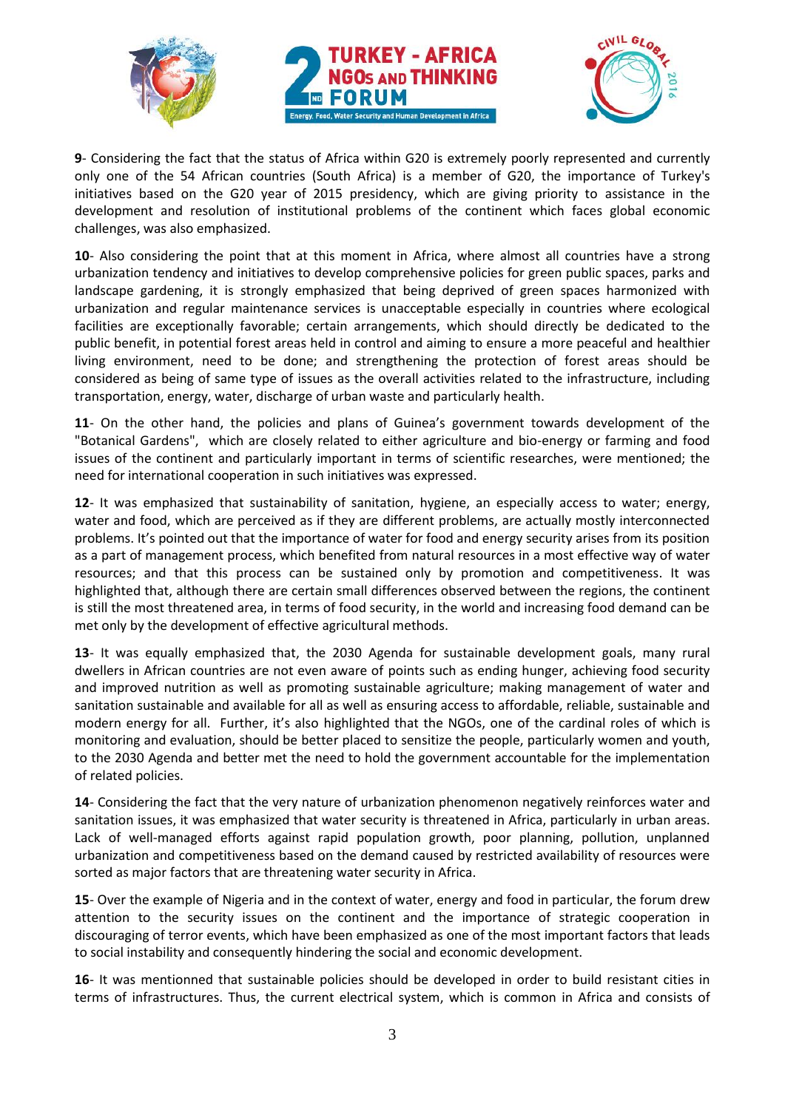





**9**- Considering the fact that the status of Africa within G20 is extremely poorly represented and currently only one of the 54 African countries (South Africa) is a member of G20, the importance of Turkey's initiatives based on the G20 year of 2015 presidency, which are giving priority to assistance in the development and resolution of institutional problems of the continent which faces global economic challenges, was also emphasized.

**10**- Also considering the point that at this moment in Africa, where almost all countries have a strong urbanization tendency and initiatives to develop comprehensive policies for green public spaces, parks and landscape gardening, it is strongly emphasized that being deprived of green spaces harmonized with urbanization and regular maintenance services is unacceptable especially in countries where ecological facilities are exceptionally favorable; certain arrangements, which should directly be dedicated to the public benefit, in potential forest areas held in control and aiming to ensure a more peaceful and healthier living environment, need to be done; and strengthening the protection of forest areas should be considered as being of same type of issues as the overall activities related to the infrastructure, including transportation, energy, water, discharge of urban waste and particularly health.

**11**- On the other hand, the policies and plans of Guinea's government towards development of the "Botanical Gardens", which are closely related to either agriculture and bio-energy or farming and food issues of the continent and particularly important in terms of scientific researches, were mentioned; the need for international cooperation in such initiatives was expressed.

**12**- It was emphasized that sustainability of sanitation, hygiene, an especially access to water; energy, water and food, which are perceived as if they are different problems, are actually mostly interconnected problems. It's pointed out that the importance of water for food and energy security arises from its position as a part of management process, which benefited from natural resources in a most effective way of water resources; and that this process can be sustained only by promotion and competitiveness. It was highlighted that, although there are certain small differences observed between the regions, the continent is still the most threatened area, in terms of food security, in the world and increasing food demand can be met only by the development of effective agricultural methods.

**13**- It was equally emphasized that, the 2030 Agenda for sustainable development goals, many rural dwellers in African countries are not even aware of points such as ending hunger, achieving food security and improved nutrition as well as promoting sustainable agriculture; making management of water and sanitation sustainable and available for all as well as ensuring access to affordable, reliable, sustainable and modern energy for all. Further, it's also highlighted that the NGOs, one of the cardinal roles of which is monitoring and evaluation, should be better placed to sensitize the people, particularly women and youth, to the 2030 Agenda and better met the need to hold the government accountable for the implementation of related policies.

**14**- Considering the fact that the very nature of urbanization phenomenon negatively reinforces water and sanitation issues, it was emphasized that water security is threatened in Africa, particularly in urban areas. Lack of well-managed efforts against rapid population growth, poor planning, pollution, unplanned urbanization and competitiveness based on the demand caused by restricted availability of resources were sorted as major factors that are threatening water security in Africa.

**15**- Over the example of Nigeria and in the context of water, energy and food in particular, the forum drew attention to the security issues on the continent and the importance of strategic cooperation in discouraging of terror events, which have been emphasized as one of the most important factors that leads to social instability and consequently hindering the social and economic development.

**16**- It was mentionned that sustainable policies should be developed in order to build resistant cities in terms of infrastructures. Thus, the current electrical system, which is common in Africa and consists of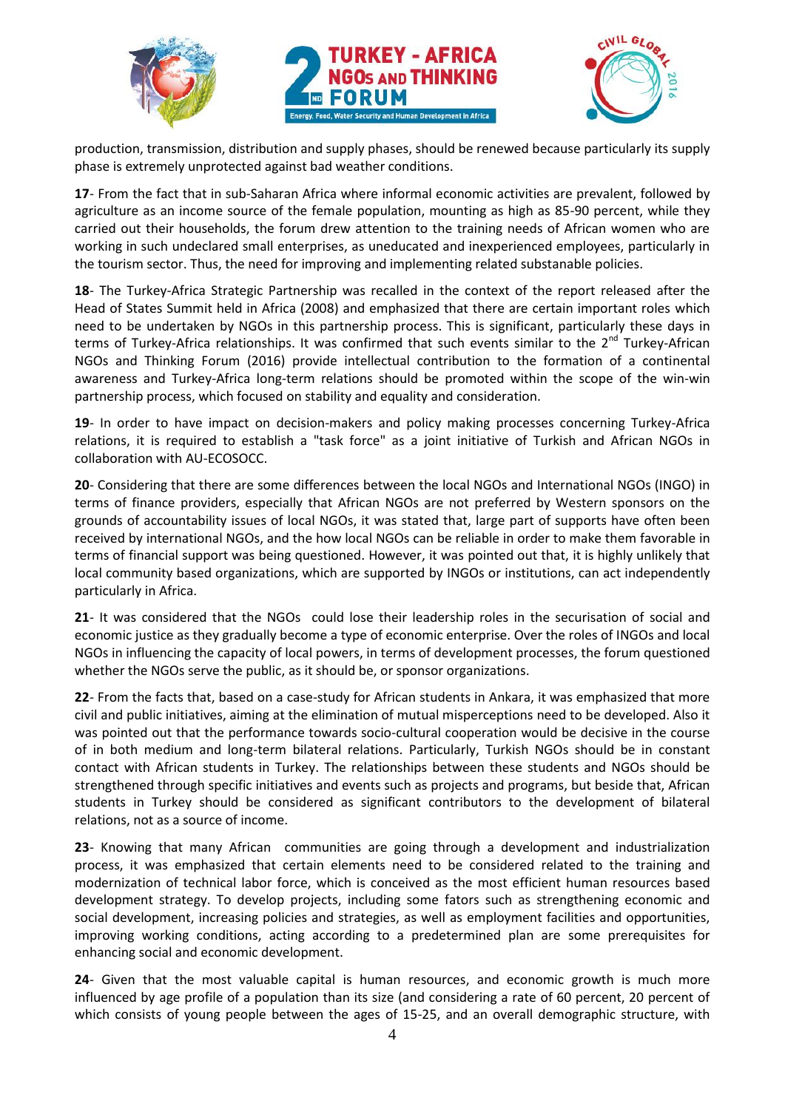





production, transmission, distribution and supply phases, should be renewed because particularly its supply phase is extremely unprotected against bad weather conditions.

**17**- From the fact that in sub-Saharan Africa where informal economic activities are prevalent, followed by agriculture as an income source of the female population, mounting as high as 85-90 percent, while they carried out their households, the forum drew attention to the training needs of African women who are working in such undeclared small enterprises, as uneducated and inexperienced employees, particularly in the tourism sector. Thus, the need for improving and implementing related substanable policies.

**18**- The Turkey-Africa Strategic Partnership was recalled in the context of the report released after the Head of States Summit held in Africa (2008) and emphasized that there are certain important roles which need to be undertaken by NGOs in this partnership process. This is significant, particularly these days in terms of Turkey-Africa relationships. It was confirmed that such events similar to the  $2^{nd}$  Turkey-African NGOs and Thinking Forum (2016) provide intellectual contribution to the formation of a continental awareness and Turkey-Africa long-term relations should be promoted within the scope of the win-win partnership process, which focused on stability and equality and consideration.

**19**- In order to have impact on decision-makers and policy making processes concerning Turkey-Africa relations, it is required to establish a "task force" as a joint initiative of Turkish and African NGOs in collaboration with AU-ECOSOCC.

**20**- Considering that there are some differences between the local NGOs and International NGOs (INGO) in terms of finance providers, especially that African NGOs are not preferred by Western sponsors on the grounds of accountability issues of local NGOs, it was stated that, large part of supports have often been received by international NGOs, and the how local NGOs can be reliable in order to make them favorable in terms of financial support was being questioned. However, it was pointed out that, it is highly unlikely that local community based organizations, which are supported by INGOs or institutions, can act independently particularly in Africa.

**21**- It was considered that the NGOs could lose their leadership roles in the securisation of social and economic justice as they gradually become a type of economic enterprise. Over the roles of INGOs and local NGOs in influencing the capacity of local powers, in terms of development processes, the forum questioned whether the NGOs serve the public, as it should be, or sponsor organizations.

**22**- From the facts that, based on a case-study for African students in Ankara, it was emphasized that more civil and public initiatives, aiming at the elimination of mutual misperceptions need to be developed. Also it was pointed out that the performance towards socio-cultural cooperation would be decisive in the course of in both medium and long-term bilateral relations. Particularly, Turkish NGOs should be in constant contact with African students in Turkey. The relationships between these students and NGOs should be strengthened through specific initiatives and events such as projects and programs, but beside that, African students in Turkey should be considered as significant contributors to the development of bilateral relations, not as a source of income.

**23**- Knowing that many African communities are going through a development and industrialization process, it was emphasized that certain elements need to be considered related to the training and modernization of technical labor force, which is conceived as the most efficient human resources based development strategy. To develop projects, including some fators such as strengthening economic and social development, increasing policies and strategies, as well as employment facilities and opportunities, improving working conditions, acting according to a predetermined plan are some prerequisites for enhancing social and economic development.

**24**- Given that the most valuable capital is human resources, and economic growth is much more influenced by age profile of a population than its size (and considering a rate of 60 percent, 20 percent of which consists of young people between the ages of 15-25, and an overall demographic structure, with